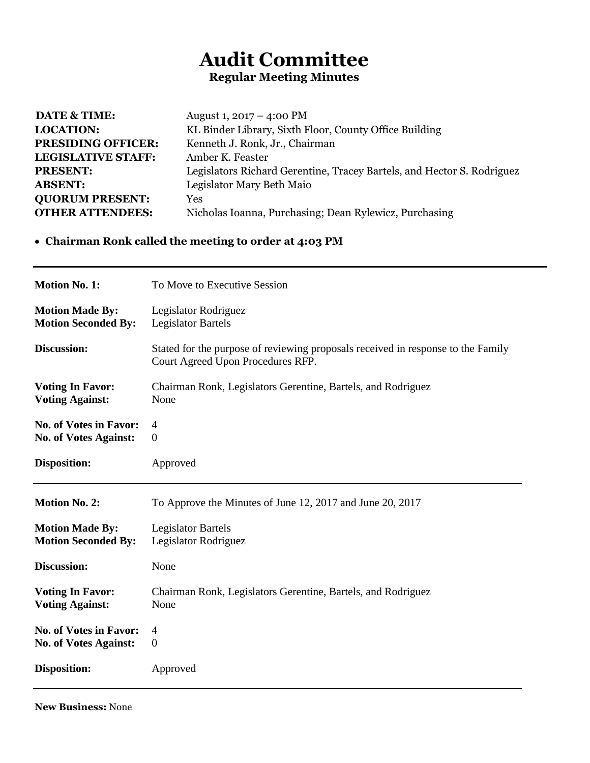## **Audit Committee Regular Meeting Minutes**

| <b>DATE &amp; TIME:</b>   | August 1, $2017 - 4:00 \text{ PM}$                                     |
|---------------------------|------------------------------------------------------------------------|
| <b>LOCATION:</b>          | KL Binder Library, Sixth Floor, County Office Building                 |
| <b>PRESIDING OFFICER:</b> | Kenneth J. Ronk, Jr., Chairman                                         |
| <b>LEGISLATIVE STAFF:</b> | Amber K. Feaster                                                       |
| <b>PRESENT:</b>           | Legislators Richard Gerentine, Tracey Bartels, and Hector S. Rodriguez |
| <b>ABSENT:</b>            | Legislator Mary Beth Maio                                              |
| <b>QUORUM PRESENT:</b>    | <b>Yes</b>                                                             |
| <b>OTHER ATTENDEES:</b>   | Nicholas Ioanna, Purchasing; Dean Rylewicz, Purchasing                 |

## **Chairman Ronk called the meeting to order at 4:03 PM**

| <b>Motion No. 1:</b>          | To Move to Executive Session                                                                                          |
|-------------------------------|-----------------------------------------------------------------------------------------------------------------------|
| <b>Motion Made By:</b>        | Legislator Rodriguez                                                                                                  |
| <b>Motion Seconded By:</b>    | <b>Legislator Bartels</b>                                                                                             |
| Discussion:                   | Stated for the purpose of reviewing proposals received in response to the Family<br>Court Agreed Upon Procedures RFP. |
| <b>Voting In Favor:</b>       | Chairman Ronk, Legislators Gerentine, Bartels, and Rodriguez                                                          |
| <b>Voting Against:</b>        | None                                                                                                                  |
| <b>No. of Votes in Favor:</b> | 4                                                                                                                     |
| <b>No. of Votes Against:</b>  | $\mathbf{0}$                                                                                                          |
| <b>Disposition:</b>           | Approved                                                                                                              |
|                               |                                                                                                                       |
| <b>Motion No. 2:</b>          | To Approve the Minutes of June 12, 2017 and June 20, 2017                                                             |
| <b>Motion Made By:</b>        | <b>Legislator Bartels</b>                                                                                             |
| <b>Motion Seconded By:</b>    | Legislator Rodriguez                                                                                                  |
| <b>Discussion:</b>            | None                                                                                                                  |
| <b>Voting In Favor:</b>       | Chairman Ronk, Legislators Gerentine, Bartels, and Rodriguez                                                          |
| <b>Voting Against:</b>        | None                                                                                                                  |
| <b>No. of Votes in Favor:</b> | 4                                                                                                                     |
| <b>No. of Votes Against:</b>  | $\mathbf{0}$                                                                                                          |

**New Business:** None